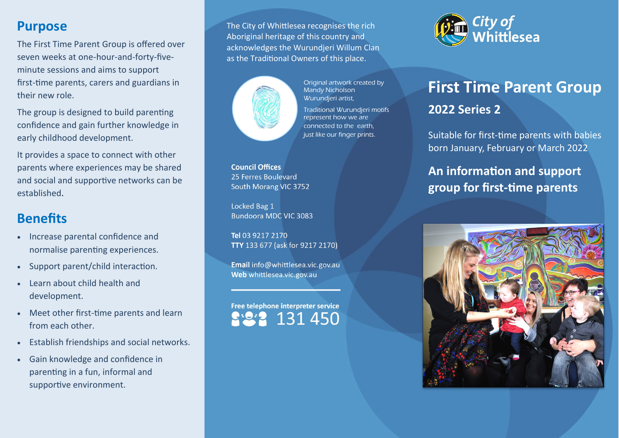#### **Purpose**

The First Time Parent Group is offered over seven weeks at one-hour-and-forty-fiveminute sessions and aims to support first-time parents, carers and guardians in their new role.

The group is designed to build parenting confidence and gain further knowledge in early childhood development.

It provides a space to connect with other parents where experiences may be shared and social and supportive networks can be established.

## **Benefits**

- Increase parental confidence and normalise parenting experiences.
- Support parent/child interaction.
- Learn about child health and development.
- Meet other first-time parents and learn from each other.
- Establish friendships and social networks.
- Gain knowledge and confidence in parenting in a fun, informal and supportive environment.

The City of Whittlesea recognises the rich Aboriginal heritage of this country and acknowledges the Wurundjeri Willum Clan as the Traditional Owners of this place.



Original artwork created by Mandy Nicholson Wurundjeri artist,

Traditional Wurundjeri motifs represent how we are connected to the earth, just like our finger prints.

**Council Offices** 25 Ferres Boulevard South Morang VIC 3752

Locked Bag 1 **Bundoora MDC VIC 3083** 

Tel 03 9217 2170 TTY 133 677 (ask for 9217 2170)

Email info@whittlesea.vic.gov.au Web whittlesea.vic.gov.au

Free telephone interpreter service 131 450



# **First Time Parent Group 2022 Series 2**

Suitable for first-time parents with babies born January, February or March 2022

## **An information and support group for first-time parents**